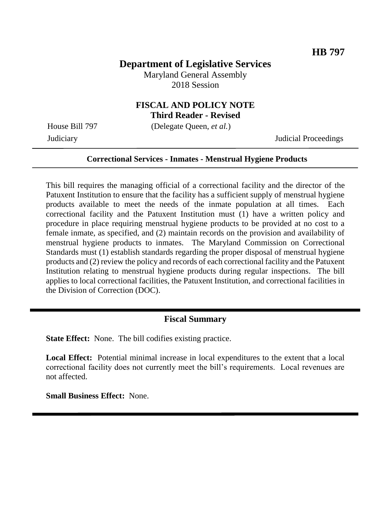# **Department of Legislative Services**

Maryland General Assembly 2018 Session

# **FISCAL AND POLICY NOTE**

**Third Reader - Revised**

House Bill 797 (Delegate Queen, *et al.*)

Judiciary Judicial Proceedings

#### **Correctional Services - Inmates - Menstrual Hygiene Products**

This bill requires the managing official of a correctional facility and the director of the Patuxent Institution to ensure that the facility has a sufficient supply of menstrual hygiene products available to meet the needs of the inmate population at all times. Each correctional facility and the Patuxent Institution must (1) have a written policy and procedure in place requiring menstrual hygiene products to be provided at no cost to a female inmate, as specified, and (2) maintain records on the provision and availability of menstrual hygiene products to inmates. The Maryland Commission on Correctional Standards must (1) establish standards regarding the proper disposal of menstrual hygiene products and (2) review the policy and records of each correctional facility and the Patuxent Institution relating to menstrual hygiene products during regular inspections. The bill applies to local correctional facilities, the Patuxent Institution, and correctional facilities in the Division of Correction (DOC).

#### **Fiscal Summary**

**State Effect:** None. The bill codifies existing practice.

**Local Effect:** Potential minimal increase in local expenditures to the extent that a local correctional facility does not currently meet the bill's requirements. Local revenues are not affected.

**Small Business Effect:** None.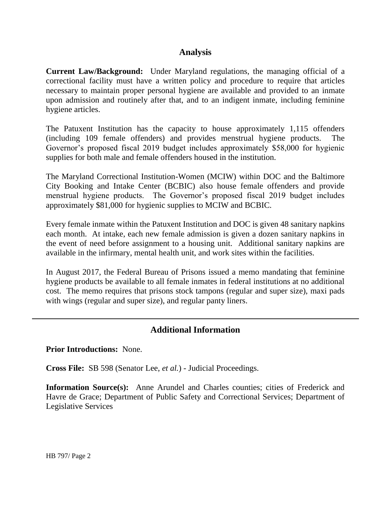## **Analysis**

**Current Law/Background:** Under Maryland regulations, the managing official of a correctional facility must have a written policy and procedure to require that articles necessary to maintain proper personal hygiene are available and provided to an inmate upon admission and routinely after that, and to an indigent inmate, including feminine hygiene articles.

The Patuxent Institution has the capacity to house approximately 1,115 offenders (including 109 female offenders) and provides menstrual hygiene products. The Governor's proposed fiscal 2019 budget includes approximately \$58,000 for hygienic supplies for both male and female offenders housed in the institution.

The Maryland Correctional Institution-Women (MCIW) within DOC and the Baltimore City Booking and Intake Center (BCBIC) also house female offenders and provide menstrual hygiene products. The Governor's proposed fiscal 2019 budget includes approximately \$81,000 for hygienic supplies to MCIW and BCBIC.

Every female inmate within the Patuxent Institution and DOC is given 48 sanitary napkins each month. At intake, each new female admission is given a dozen sanitary napkins in the event of need before assignment to a housing unit. Additional sanitary napkins are available in the infirmary, mental health unit, and work sites within the facilities.

In August 2017, the Federal Bureau of Prisons issued a memo mandating that feminine hygiene products be available to all female inmates in federal institutions at no additional cost. The memo requires that prisons stock tampons (regular and super size), maxi pads with wings (regular and super size), and regular panty liners.

## **Additional Information**

**Prior Introductions:** None.

**Cross File:** SB 598 (Senator Lee, *et al.*) - Judicial Proceedings.

**Information Source(s):** Anne Arundel and Charles counties; cities of Frederick and Havre de Grace; Department of Public Safety and Correctional Services; Department of Legislative Services